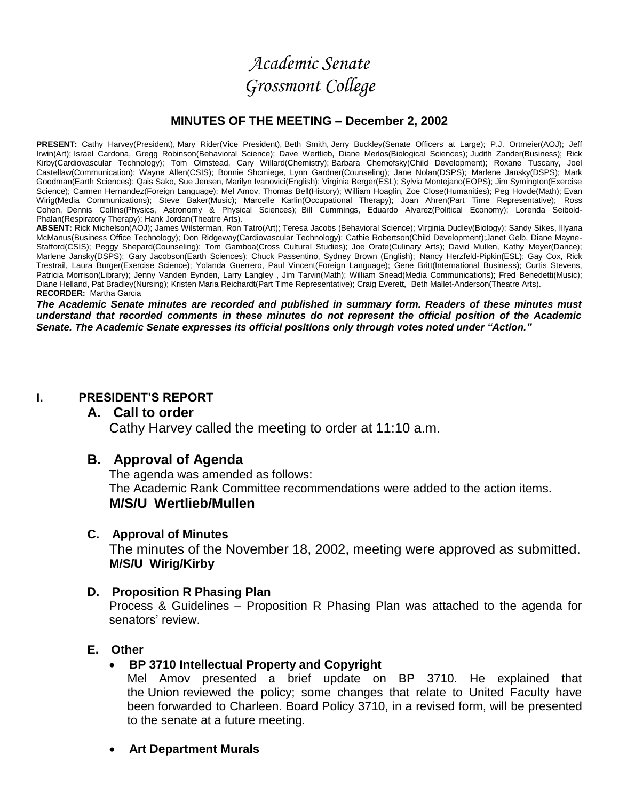# *Academic Senate Grossmont College*

# **MINUTES OF THE MEETING – December 2, 2002**

PRESENT: Cathy Harvey(President), Mary Rider(Vice President), Beth Smith, Jerry Buckley(Senate Officers at Large); P.J. Ortmeier(AOJ); Jeff Irwin(Art); Israel Cardona, Gregg Robinson(Behavioral Science); Dave Wertlieb, Diane Merlos(Biological Sciences); Judith Zander(Business); Rick Kirby(Cardiovascular Technology); Tom Olmstead, Cary Willard(Chemistry); Barbara Chernofsky(Child Development); Roxane Tuscany, Joel Castellaw(Communication); Wayne Allen(CSIS); Bonnie Shcmiege, Lynn Gardner(Counseling); Jane Nolan(DSPS); Marlene Jansky(DSPS); Mark Goodman(Earth Sciences); Qais Sako, Sue Jensen, Marilyn Ivanovici(English); Virginia Berger(ESL); Sylvia Montejano(EOPS); Jim Symington(Exercise Science); Carmen Hernandez(Foreign Language); Mel Amov, Thomas Bell(History); William Hoaglin, Zoe Close(Humanities); Peg Hovde(Math); Evan Wirig(Media Communications); Steve Baker(Music); Marcelle Karlin(Occupational Therapy); Joan Ahren(Part Time Representative); Ross Cohen, Dennis Collins(Physics, Astronomy & Physical Sciences); Bill Cummings, Eduardo Alvarez(Political Economy); Lorenda Seibold-Phalan(Respiratory Therapy); Hank Jordan(Theatre Arts).

ABSENT: Rick Michelson(AOJ); James Wilsterman, Ron Tatro(Art); Teresa Jacobs (Behavioral Science); Virginia Dudley(Biology); Sandy Sikes, Illyana McManus(Business Office Technology); Don Ridgeway(Cardiovascular Technology); Cathie Robertson(Child Development);Janet Gelb, Diane Mayne-Stafford(CSIS); Peggy Shepard(Counseling); Tom Gamboa(Cross Cultural Studies); Joe Orate(Culinary Arts); David Mullen, Kathy Meyer(Dance); Marlene Jansky(DSPS); Gary Jacobson(Earth Sciences); Chuck Passentino, Sydney Brown (English); Nancy Herzfeld-Pipkin(ESL); Gay Cox, Rick Trestrail, Laura Burger(Exercise Science); Yolanda Guerrero, Paul Vincent(Foreign Language); Gene Britt(International Business); Curtis Stevens, Patricia Morrison(Library); Jenny Vanden Eynden, Larry Langley , Jim Tarvin(Math); William Snead(Media Communications); Fred Benedetti(Music); Diane Helland, Pat Bradley(Nursing); Kristen Maria Reichardt(Part Time Representative); Craig Everett, Beth Mallet-Anderson(Theatre Arts). **RECORDER:** Martha Garcia

*The Academic Senate minutes are recorded and published in summary form. Readers of these minutes must understand that recorded comments in these minutes do not represent the official position of the Academic Senate. The Academic Senate expresses its official positions only through votes noted under "Action."*

### **I. PRESIDENT'S REPORT**

# **A. Call to order**

Cathy Harvey called the meeting to order at 11:10 a.m.

# **B. Approval of Agenda**

The agenda was amended as follows: The Academic Rank Committee recommendations were added to the action items. **M/S/U Wertlieb/Mullen** 

# **C. Approval of Minutes**

The minutes of the November 18, 2002, meeting were approved as submitted. **M/S/U Wirig/Kirby**

# **D. Proposition R Phasing Plan**

Process & Guidelines – Proposition R Phasing Plan was attached to the agenda for senators' review.

# **E. Other**

# **BP 3710 Intellectual Property and Copyright**

Mel Amov presented a brief update on BP 3710. He explained that the Union reviewed the policy; some changes that relate to United Faculty have been forwarded to Charleen. Board Policy 3710, in a revised form, will be presented to the senate at a future meeting.

**Art Department Murals**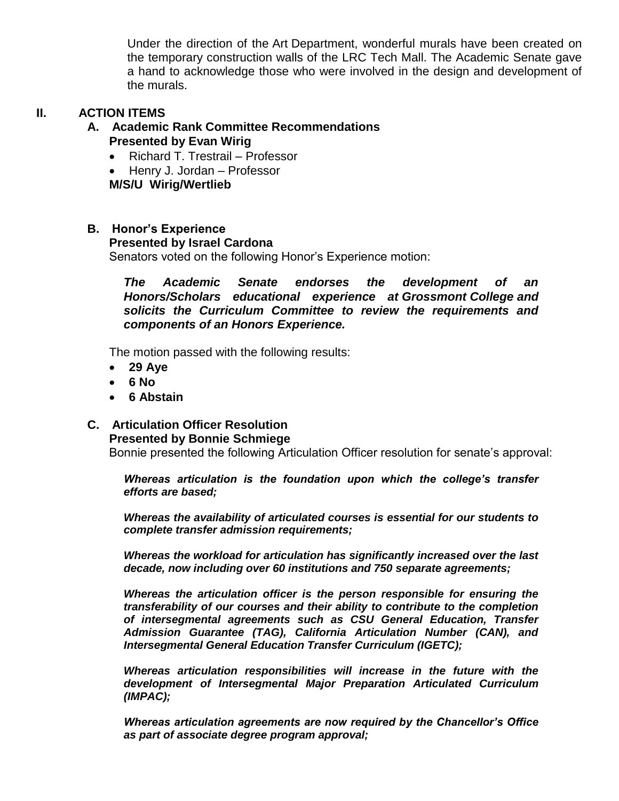Under the direction of the Art Department, wonderful murals have been created on the temporary construction walls of the LRC Tech Mall. The Academic Senate gave a hand to acknowledge those who were involved in the design and development of the murals.

# **II. ACTION ITEMS**

# **A. Academic Rank Committee Recommendations Presented by Evan Wirig**

- Richard T. Trestrail Professor
- Henry J. Jordan Professor

**M/S/U Wirig/Wertlieb**

## **B. Honor's Experience**

#### **Presented by Israel Cardona**

Senators voted on the following Honor's Experience motion:

*The Academic Senate endorses the development of an Honors/Scholars educational experience at Grossmont College and solicits the Curriculum Committee to review the requirements and components of an Honors Experience.*

The motion passed with the following results:

- **29 Aye**
- **6 No**
- **6 Abstain**

#### **C. Articulation Officer Resolution Presented by Bonnie Schmiege**

Bonnie presented the following Articulation Officer resolution for senate's approval:

*Whereas articulation is the foundation upon which the college's transfer efforts are based;*

*Whereas the availability of articulated courses is essential for our students to complete transfer admission requirements;*

*Whereas the workload for articulation has significantly increased over the last decade, now including over 60 institutions and 750 separate agreements;*

*Whereas the articulation officer is the person responsible for ensuring the transferability of our courses and their ability to contribute to the completion of intersegmental agreements such as CSU General Education, Transfer Admission Guarantee (TAG), California Articulation Number (CAN), and Intersegmental General Education Transfer Curriculum (IGETC);*

*Whereas articulation responsibilities will increase in the future with the development of Intersegmental Major Preparation Articulated Curriculum (IMPAC);*

*Whereas articulation agreements are now required by the Chancellor's Office as part of associate degree program approval;*